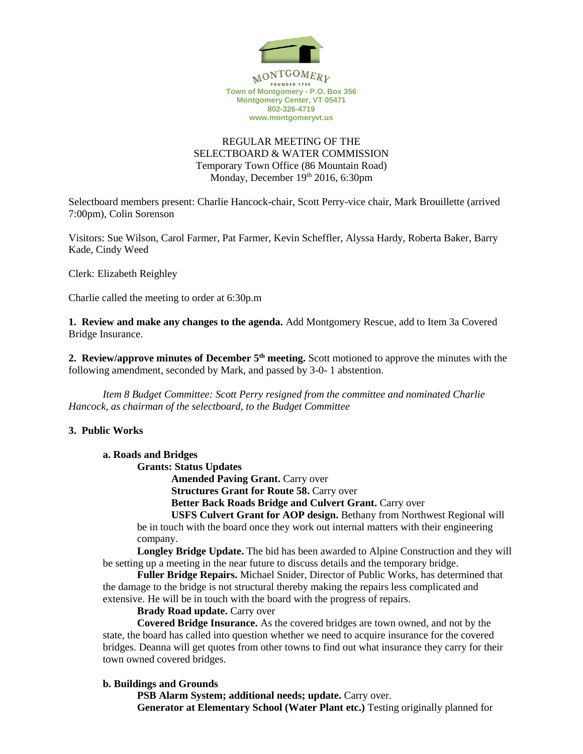

# REGULAR MEETING OF THE SELECTBOARD & WATER COMMISSION Temporary Town Office (86 Mountain Road) Monday, December 19th 2016, 6:30pm

Selectboard members present: Charlie Hancock-chair, Scott Perry-vice chair, Mark Brouillette (arrived 7:00pm), Colin Sorenson

Visitors: Sue Wilson, Carol Farmer, Pat Farmer, Kevin Scheffler, Alyssa Hardy, Roberta Baker, Barry Kade, Cindy Weed

Clerk: Elizabeth Reighley

Charlie called the meeting to order at 6:30p.m

**1. Review and make any changes to the agenda.** Add Montgomery Rescue, add to Item 3a Covered Bridge Insurance.

2. Review/approve minutes of December 5<sup>th</sup> meeting. Scott motioned to approve the minutes with the following amendment, seconded by Mark, and passed by 3-0- 1 abstention.

*Item 8 Budget Committee: Scott Perry resigned from the committee and nominated Charlie Hancock, as chairman of the selectboard, to the Budget Committee*

# **3. Public Works**

### **a. Roads and Bridges**

**Grants: Status Updates**

**Amended Paving Grant.** Carry over

**Structures Grant for Route 58. Carry over** 

**Better Back Roads Bridge and Culvert Grant.** Carry over

**USFS Culvert Grant for AOP design.** Bethany from Northwest Regional will be in touch with the board once they work out internal matters with their engineering company.

**Longley Bridge Update.** The bid has been awarded to Alpine Construction and they will be setting up a meeting in the near future to discuss details and the temporary bridge.

**Fuller Bridge Repairs.** Michael Snider, Director of Public Works, has determined that the damage to the bridge is not structural thereby making the repairs less complicated and extensive. He will be in touch with the board with the progress of repairs.

### **Brady Road update.** Carry over

**Covered Bridge Insurance.** As the covered bridges are town owned, and not by the state, the board has called into question whether we need to acquire insurance for the covered bridges. Deanna will get quotes from other towns to find out what insurance they carry for their town owned covered bridges.

# **b. Buildings and Grounds**

**PSB Alarm System; additional needs; update.** Carry over. **Generator at Elementary School (Water Plant etc.)** Testing originally planned for